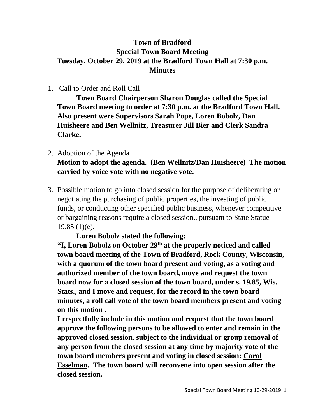## **Town of Bradford Special Town Board Meeting Tuesday, October 29, 2019 at the Bradford Town Hall at 7:30 p.m. Minutes**

## 1. Call to Order and Roll Call

**Town Board Chairperson Sharon Douglas called the Special Town Board meeting to order at 7:30 p.m. at the Bradford Town Hall. Also present were Supervisors Sarah Pope, Loren Bobolz, Dan Huisheere and Ben Wellnitz, Treasurer Jill Bier and Clerk Sandra Clarke.**

# 2. Adoption of the Agenda **Motion to adopt the agenda. (Ben Wellnitz/Dan Huisheere) The motion carried by voice vote with no negative vote.**

3. Possible motion to go into closed session for the purpose of deliberating or negotiating the purchasing of public properties, the investing of public funds, or conducting other specified public business, whenever competitive or bargaining reasons require a closed session., pursuant to State Statue 19.85 (1)(e).

## **Loren Bobolz stated the following:**

**"I, Loren Bobolz on October 29th at the properly noticed and called town board meeting of the Town of Bradford, Rock County, Wisconsin, with a quorum of the town board present and voting, as a voting and authorized member of the town board, move and request the town board now for a closed session of the town board, under s. 19.85, Wis. Stats., and I move and request, for the record in the town board minutes, a roll call vote of the town board members present and voting on this motion .**

**I respectfully include in this motion and request that the town board approve the following persons to be allowed to enter and remain in the approved closed session, subject to the individual or group removal of any person from the closed session at any time by majority vote of the town board members present and voting in closed session: Carol Esselman. The town board will reconvene into open session after the closed session.**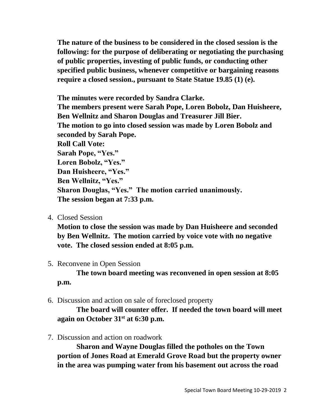**The nature of the business to be considered in the closed session is the following: for the purpose of deliberating or negotiating the purchasing of public properties, investing of public funds, or conducting other specified public business, whenever competitive or bargaining reasons require a closed session., pursuant to State Statue 19.85 (1) (e).**

**The minutes were recorded by Sandra Clarke. The members present were Sarah Pope, Loren Bobolz, Dan Huisheere, Ben Wellnitz and Sharon Douglas and Treasurer Jill Bier. The motion to go into closed session was made by Loren Bobolz and seconded by Sarah Pope. Roll Call Vote: Sarah Pope, "Yes." Loren Bobolz, "Yes." Dan Huisheere, "Yes." Ben Wellnitz, "Yes." Sharon Douglas, "Yes." The motion carried unanimously. The session began at 7:33 p.m.**

4. Closed Session

**Motion to close the session was made by Dan Huisheere and seconded by Ben Wellnitz. The motion carried by voice vote with no negative vote. The closed session ended at 8:05 p.m.**

5. Reconvene in Open Session

**The town board meeting was reconvened in open session at 8:05 p.m.**

6. Discussion and action on sale of foreclosed property

**The board will counter offer. If needed the town board will meet again on October 31st at 6:30 p.m.**

7. Discussion and action on roadwork

**Sharon and Wayne Douglas filled the potholes on the Town portion of Jones Road at Emerald Grove Road but the property owner in the area was pumping water from his basement out across the road**